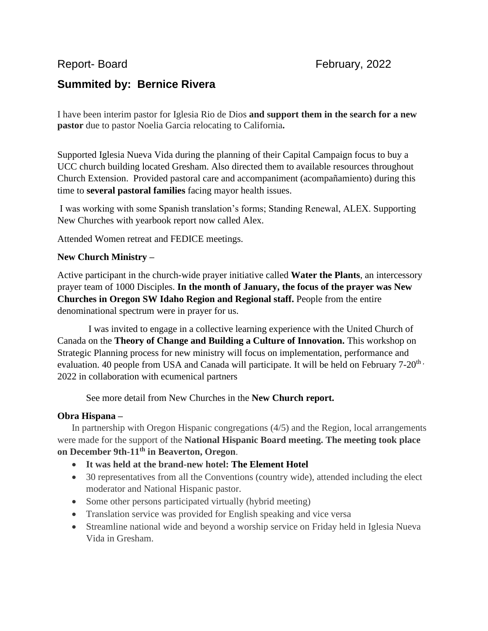# **Summited by: Bernice Rivera**

I have been interim pastor for Iglesia Rio de Dios **and support them in the search for a new pastor** due to pastor Noelia Garcia relocating to California**.**

Supported Iglesia Nueva Vida during the planning of their Capital Campaign focus to buy a UCC church building located Gresham. Also directed them to available resources throughout Church Extension. Provided pastoral care and accompaniment (acompañamiento) during this time to **several pastoral families** facing mayor health issues.

I was working with some Spanish translation's forms; Standing Renewal, ALEX. Supporting New Churches with yearbook report now called Alex.

Attended Women retreat and FEDICE meetings.

## **New Church Ministry –**

Active participant in the church-wide prayer initiative called **Water the Plants**, an intercessory prayer team of 1000 Disciples. **In the month of January, the focus of the prayer was New Churches in Oregon SW Idaho Region and Regional staff.** People from the entire denominational spectrum were in prayer for us.

I was invited to engage in a collective learning experience with the United Church of Canada on the **Theory of Change and Building a Culture of Innovation.** This workshop on Strategic Planning process for new ministry will focus on implementation, performance and evaluation. 40 people from USA and Canada will participate. It will be held on February 7-20<sup>th</sup>, 2022 in collaboration with ecumenical partners

See more detail from New Churches in the **New Church report.**

### **Obra Hispana –**

In partnership with Oregon Hispanic congregations (4/5) and the Region, local arrangements were made for the support of the **National Hispanic Board meeting. The meeting took place on December 9th-11th in Beaverton, Oregon**.

- **It was held at the brand-new hotel: The Element Hotel**
- 30 representatives from all the Conventions (country wide), attended including the elect moderator and National Hispanic pastor.
- Some other persons participated virtually (hybrid meeting)
- Translation service was provided for English speaking and vice versa
- Streamline national wide and beyond a worship service on Friday held in Iglesia Nueva Vida in Gresham.